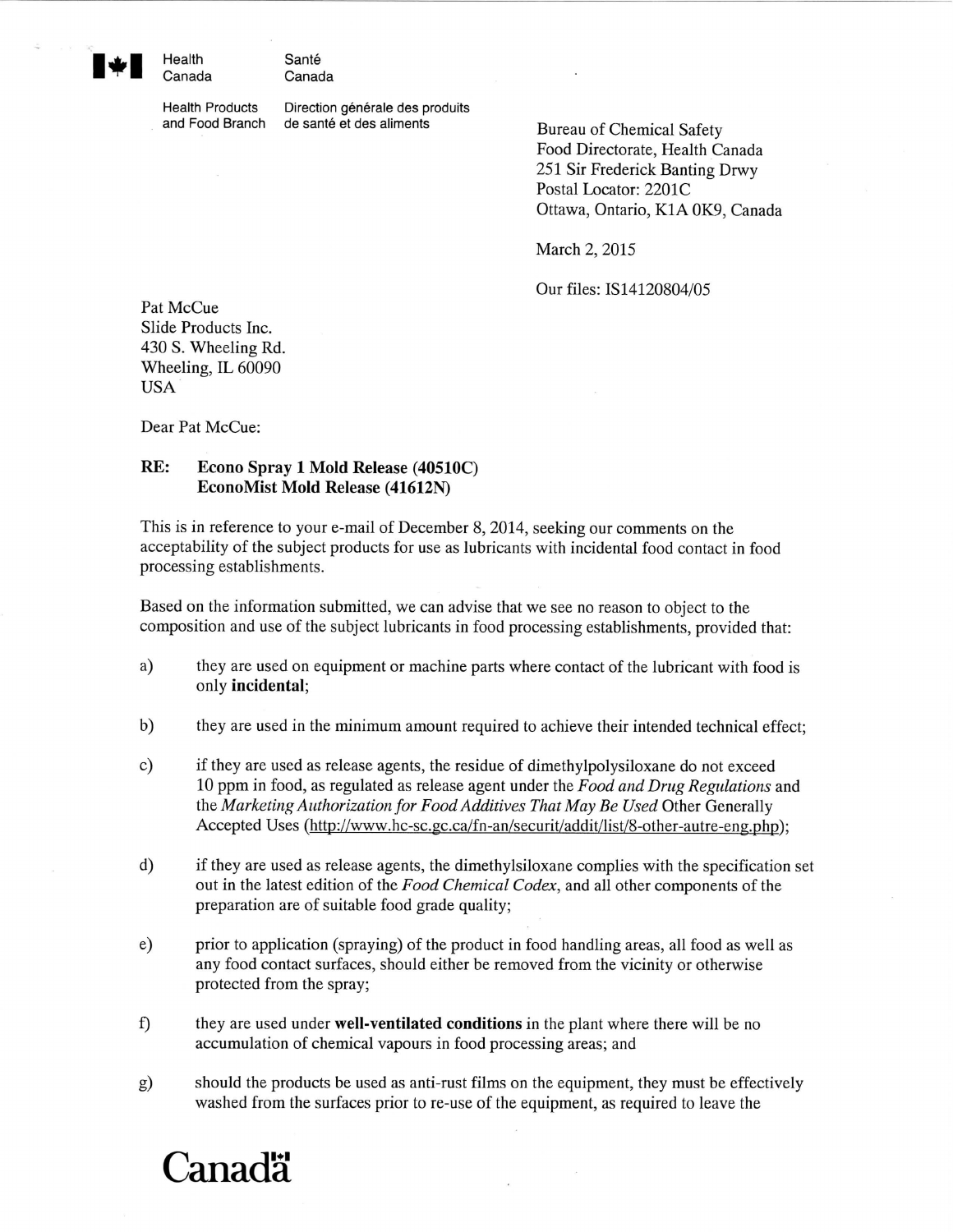Health Santé Canada Canada

Health Products Direction générale des produits and Food Branch de santé et des aliments<br>Bureau of Chemical Safety

Food Directorate, Health Canada 251 Sir Frederick Banting Drwy Postal Locator: 2201C Ottawa, Ontario, K1A OK9, Canada

March 2, 2015

Our files: IS14120804/05

Pat McCue Slide Products Inc. 430 S. Wheeling Rd. Wheeling, IL 60090 USA

Dear Pat McCue:

## **RE: Econo Spray 1 Mold Release (40510C) EconoMist Mold Release (41612N)**

This is in reference to your e-mail of December 8, 2014, seeking our comments on the acceptability of the subject products for use as lubricants with incidental food contact in food processing establishments.

Based on the information submitted, we can advise that we see no reason to object to the composition and use of the subject lubricants in food processing establishments, provided that:

- a) they are used on equipment or machine parts where contact of the lubricant with food is only **incidental;**
- b) they are used in the minimum amount required to achieve their intended technical effect;
- c) if they are used as release agents, the residue of dimethylpolysiloxane do not exceed 10 ppm in food, as regulated as release agent under the *Food and Drug Regulations* and the *Marketing Authorization for Food Additives That May Be Used* Other Generally Accepted Uses (http://www.hc-sc.gc.ca/fn-an/securit/addit/list/8-other-autre-eng.php):
- d) if they are used as release agents, the dimethylsiloxane complies with the specification set out in the latest edition of the *Food Chemical Codex,* and all other components of the preparation are of suitable food grade quality;
- e) prior to application (spraying) of the product in food handling areas, all food as well as any food contact surfaces, should either be removed from the vicinity or otherwise protected from the spray;
- f) they are used under **well-ventilated conditions** in the plant where there will be no accumulation of chemical vapours in food processing areas; and
- g) should the products be used as anti-rust films on the equipment, they must be effectively washed from the surfaces prior to re-use of the equipment, as required to leave the

## **Canadä**